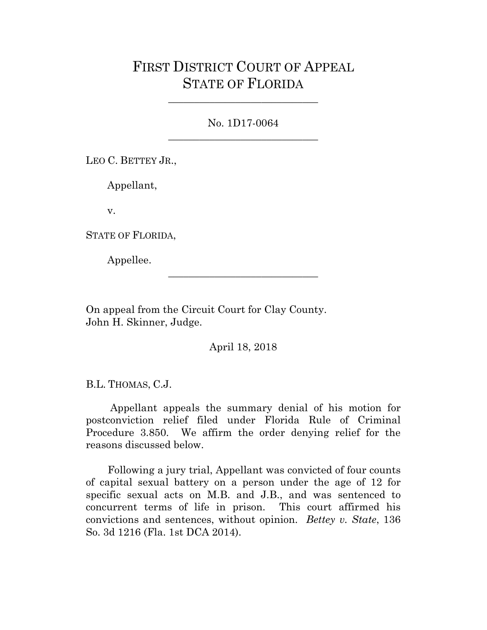## FIRST DISTRICT COURT OF APPEAL STATE OF FLORIDA

No. 1D17-0064 \_\_\_\_\_\_\_\_\_\_\_\_\_\_\_\_\_\_\_\_\_\_\_\_\_\_\_\_\_

\_\_\_\_\_\_\_\_\_\_\_\_\_\_\_\_\_\_\_\_\_\_\_\_\_\_\_\_\_

LEO C. BETTEY JR.,

Appellant,

v.

STATE OF FLORIDA,

Appellee.

On appeal from the Circuit Court for Clay County. John H. Skinner, Judge.

April 18, 2018

\_\_\_\_\_\_\_\_\_\_\_\_\_\_\_\_\_\_\_\_\_\_\_\_\_\_\_\_\_

B.L. THOMAS, C.J.

Appellant appeals the summary denial of his motion for postconviction relief filed under Florida Rule of Criminal Procedure 3.850. We affirm the order denying relief for the reasons discussed below.

Following a jury trial, Appellant was convicted of four counts of capital sexual battery on a person under the age of 12 for specific sexual acts on M.B. and J.B., and was sentenced to concurrent terms of life in prison. This court affirmed his convictions and sentences, without opinion. *Bettey v. State*, 136 So. 3d 1216 (Fla. 1st DCA 2014).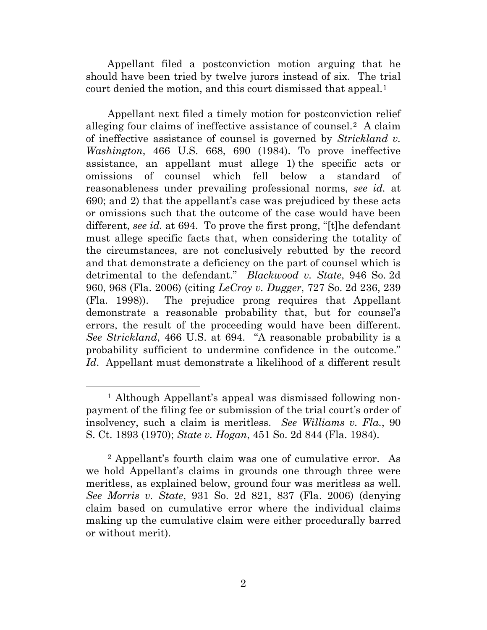Appellant filed a postconviction motion arguing that he should have been tried by twelve jurors instead of six. The trial court denied the motion, and this court dismissed that appeal.<sup>[1](#page-1-0)</sup>

Appellant next filed a timely motion for postconviction relief alleging four claims of ineffective assistance of counsel.[2](#page-1-1) A claim of ineffective assistance of counsel is governed by *Strickland v. Washington*, [466 U.S. 668,](https://a.next.westlaw.com/Document/I235b05aa9c1e11d9bdd1cfdd544ca3a4/View/FullText.html?transitionType=UniqueDocItem&contextData=(sc.Default)&userEnteredCitation=466+U.S.+668) 690 (1984). To prove ineffective assistance, an appellant must allege 1) the specific acts or omissions of counsel which fell below a standard of reasonableness under prevailing professional norms, *see id.* at 690; and 2) that the appellant's case was prejudiced by these acts or omissions such that the outcome of the case would have been different, *see id.* at 694. To prove the first prong, "[t]he defendant must allege specific facts that, when considering the totality of the circumstances, are not conclusively rebutted by the record and that demonstrate a deficiency on the part of counsel which is detrimental to the defendant." *Blackwood v. State*, [946 So.](https://a.next.westlaw.com/Document/Ic782c74959de11db9b5fa20d42f776ec/View/FullText.html?transitionType=UniqueDocItem&contextData=(sc.UserEnteredCitation)&userEnteredCitation=946+So.+2d+960) 2d [960,](https://a.next.westlaw.com/Document/Ic782c74959de11db9b5fa20d42f776ec/View/FullText.html?transitionType=UniqueDocItem&contextData=(sc.UserEnteredCitation)&userEnteredCitation=946+So.+2d+960) 968 (Fla. 2006) (citing *LeCroy v. Dugger*, [727 So.](https://a.next.westlaw.com/Document/I2ea10e270c8911d98220e6fa99ecd085/View/FullText.html?transitionType=UniqueDocItem&contextData=(sc.UserEnteredCitation)&userEnteredCitation=727+So.+2d+236) 2d 236, 239 (Fla. 1998)). The prejudice prong requires that Appellant demonstrate a reasonable probability that, but for counsel's errors, the result of the proceeding would have been different. *See Strickland*, 466 U.S. at 694. "A reasonable probability is a probability sufficient to undermine confidence in the outcome." *Id*. Appellant must demonstrate a likelihood of a different result

<span id="page-1-0"></span><sup>&</sup>lt;sup>1</sup> Although Appellant's appeal was dismissed following nonpayment of the filing fee or submission of the trial court's order of insolvency, such a claim is meritless. *See Williams v. Fla.*, 90 S. Ct. 1893 (1970); *State v. Hogan*, 451 So. 2d 844 (Fla. 1984).

<span id="page-1-1"></span><sup>2</sup> Appellant's fourth claim was one of cumulative error. As we hold Appellant's claims in grounds one through three were meritless, as explained below, ground four was meritless as well. *See Morris v. State*, 931 So. 2d 821, 837 (Fla. 2006) (denying claim based on cumulative error where the individual claims making up the cumulative claim were either procedurally barred or without merit).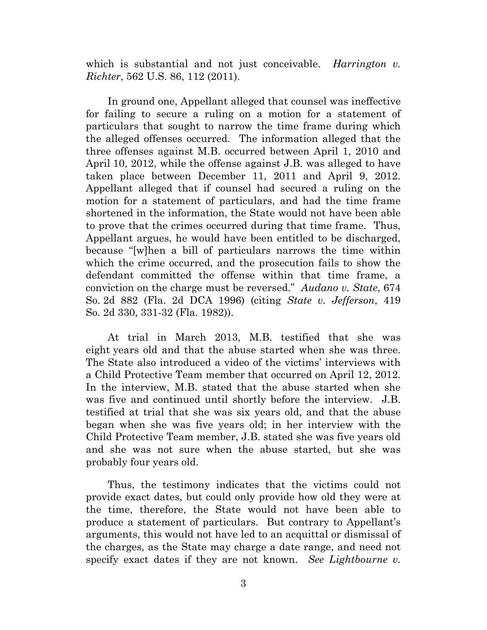which is substantial and not just conceivable. *Harrington v. Richter*, [562 U.S. 86,](https://1.next.westlaw.com/Link/Document/FullText?findType=Y&serNum=2024411744&pubNum=708&originatingDoc=I4b07a7d5f59511e0a9e5bdc02ef2b18e&refType=RP&originationContext=document&transitionType=DocumentItem&contextData=(sc.UserEnteredCitation)#co_pp_sp_708_791) 112 (2011).

In ground one, Appellant alleged that counsel was ineffective for failing to secure a ruling on a motion for a statement of particulars that sought to narrow the time frame during which the alleged offenses occurred. The information alleged that the three offenses against M.B. occurred between April 1, 2010 and April 10, 2012, while the offense against J.B. was alleged to have taken place between December 11, 2011 and April 9, 2012. Appellant alleged that if counsel had secured a ruling on the motion for a statement of particulars, and had the time frame shortened in the information, the State would not have been able to prove that the crimes occurred during that time frame. Thus, Appellant argues, he would have been entitled to be discharged, because "[w]hen a bill of particulars narrows the time within which the crime occurred, and the prosecution fails to show the defendant committed the offense within that time frame, a conviction on the charge must be reversed." *Audano v. State*, 674 So. 2d 882 (Fla. 2d DCA 1996) (citing *State v. Jefferson*, 419 So. 2d 330, 331-32 (Fla. 1982)).

At trial in March 2013, M.B. testified that she was eight years old and that the abuse started when she was three. The State also introduced a video of the victims' interviews with a Child Protective Team member that occurred on April 12, 2012. In the interview, M.B. stated that the abuse started when she was five and continued until shortly before the interview. J.B. testified at trial that she was six years old, and that the abuse began when she was five years old; in her interview with the Child Protective Team member, J.B. stated she was five years old and she was not sure when the abuse started, but she was probably four years old.

Thus, the testimony indicates that the victims could not provide exact dates, but could only provide how old they were at the time, therefore, the State would not have been able to produce a statement of particulars. But contrary to Appellant's arguments, this would not have led to an acquittal or dismissal of the charges, as the State may charge a date range, and need not specify exact dates if they are not known. *See Lightbourne v.*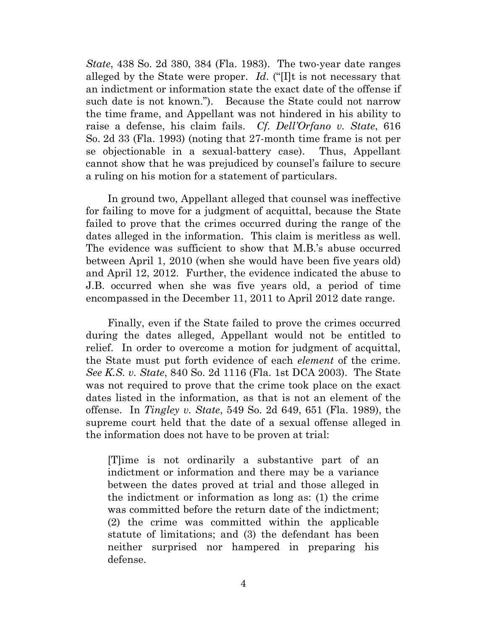*State*, 438 So. 2d 380, 384 (Fla. 1983). The two-year date ranges alleged by the State were proper. *Id*. ("[I]t is not necessary that an indictment or information state the exact date of the offense if such date is not known."). Because the State could not narrow the time frame, and Appellant was not hindered in his ability to raise a defense, his claim fails. *Cf. Dell'Orfano v. State*, 616 So. 2d 33 (Fla. 1993) (noting that 27-month time frame is not per se objectionable in a sexual-battery case). Thus, Appellant cannot show that he was prejudiced by counsel's failure to secure a ruling on his motion for a statement of particulars.

In ground two, Appellant alleged that counsel was ineffective for failing to move for a judgment of acquittal, because the State failed to prove that the crimes occurred during the range of the dates alleged in the information. This claim is meritless as well. The evidence was sufficient to show that M.B.'s abuse occurred between April 1, 2010 (when she would have been five years old) and April 12, 2012. Further, the evidence indicated the abuse to J.B. occurred when she was five years old, a period of time encompassed in the December 11, 2011 to April 2012 date range.

Finally, even if the State failed to prove the crimes occurred during the dates alleged, Appellant would not be entitled to relief. In order to overcome a motion for judgment of acquittal, the State must put forth evidence of each *element* of the crime. *See K.S. v. State*, 840 So. 2d 1116 (Fla. 1st DCA 2003). The State was not required to prove that the crime took place on the exact dates listed in the information, as that is not an element of the offense. In *Tingley v. State*, 549 So. 2d 649, 651 (Fla. 1989), the supreme court held that the date of a sexual offense alleged in the information does not have to be proven at trial:

[T]ime is not ordinarily a substantive part of an indictment or information and there may be a variance between the dates proved at trial and those alleged in the indictment or information as long as: (1) the crime was committed before the return date of the indictment; (2) the crime was committed within the applicable statute of limitations; and (3) the defendant has been neither surprised nor hampered in preparing his defense.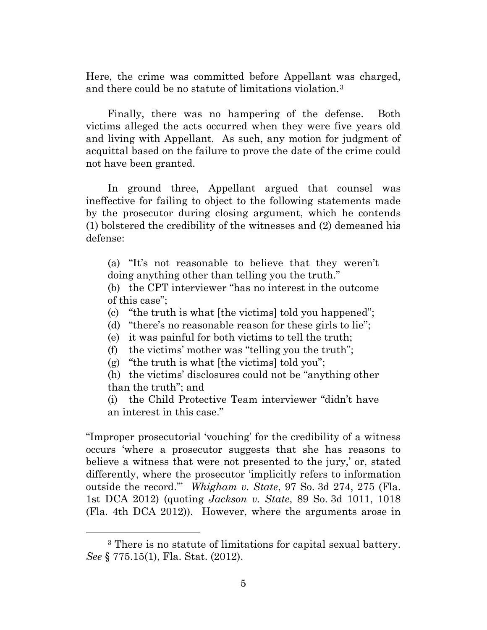Here, the crime was committed before Appellant was charged, and there could be no statute of limitations violation.[3](#page-4-0) 

Finally, there was no hampering of the defense. Both victims alleged the acts occurred when they were five years old and living with Appellant. As such, any motion for judgment of acquittal based on the failure to prove the date of the crime could not have been granted.

In ground three, Appellant argued that counsel was ineffective for failing to object to the following statements made by the prosecutor during closing argument, which he contends (1) bolstered the credibility of the witnesses and (2) demeaned his defense:

(a) "It's not reasonable to believe that they weren't doing anything other than telling you the truth."

(b) the CPT interviewer "has no interest in the outcome of this case";

(c) "the truth is what [the victims] told you happened";

- (d) "there's no reasonable reason for these girls to lie";
- (e) it was painful for both victims to tell the truth;
- (f) the victims' mother was "telling you the truth";

(g) "the truth is what [the victims] told you";

(h) the victims' disclosures could not be "anything other than the truth"; and

(i) the Child Protective Team interviewer "didn't have an interest in this case."

"Improper prosecutorial 'vouching' for the credibility of a witness occurs 'where a prosecutor suggests that she has reasons to believe a witness that were not presented to the jury,' or, stated differently, where the prosecutor 'implicitly refers to information outside the record.'" *Whigham v. State*, 97 So. 3d 274, 275 (Fla. 1st DCA 2012) (quoting *Jackson v. State*, 89 So. 3d 1011, 1018 (Fla. 4th DCA 2012)). However, where the arguments arose in

<span id="page-4-0"></span> <sup>3</sup> There is no statute of limitations for capital sexual battery. *See* § 775.15(1), Fla. Stat. (2012).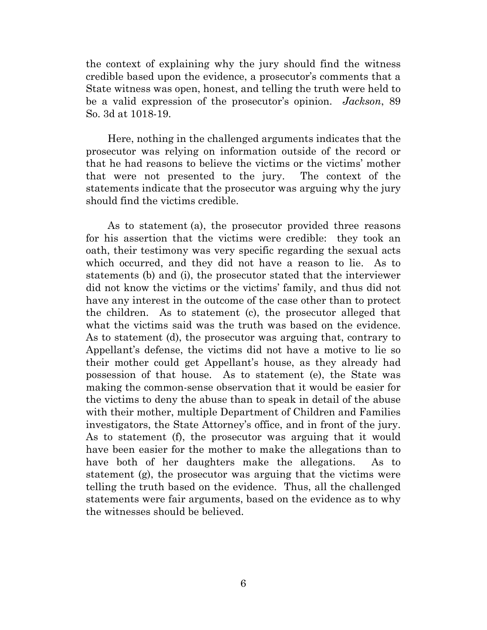the context of explaining why the jury should find the witness credible based upon the evidence, a prosecutor's comments that a State witness was open, honest, and telling the truth were held to be a valid expression of the prosecutor's opinion. *Jackson*, 89 So. 3d at 1018-19.

Here, nothing in the challenged arguments indicates that the prosecutor was relying on information outside of the record or that he had reasons to believe the victims or the victims' mother that were not presented to the jury. The context of the statements indicate that the prosecutor was arguing why the jury should find the victims credible.

As to statement (a), the prosecutor provided three reasons for his assertion that the victims were credible: they took an oath, their testimony was very specific regarding the sexual acts which occurred, and they did not have a reason to lie. As to statements (b) and (i), the prosecutor stated that the interviewer did not know the victims or the victims' family, and thus did not have any interest in the outcome of the case other than to protect the children. As to statement (c), the prosecutor alleged that what the victims said was the truth was based on the evidence. As to statement (d), the prosecutor was arguing that, contrary to Appellant's defense, the victims did not have a motive to lie so their mother could get Appellant's house, as they already had possession of that house. As to statement (e), the State was making the common-sense observation that it would be easier for the victims to deny the abuse than to speak in detail of the abuse with their mother, multiple Department of Children and Families investigators, the State Attorney's office, and in front of the jury. As to statement (f), the prosecutor was arguing that it would have been easier for the mother to make the allegations than to have both of her daughters make the allegations. As to statement (g), the prosecutor was arguing that the victims were telling the truth based on the evidence. Thus, all the challenged statements were fair arguments, based on the evidence as to why the witnesses should be believed.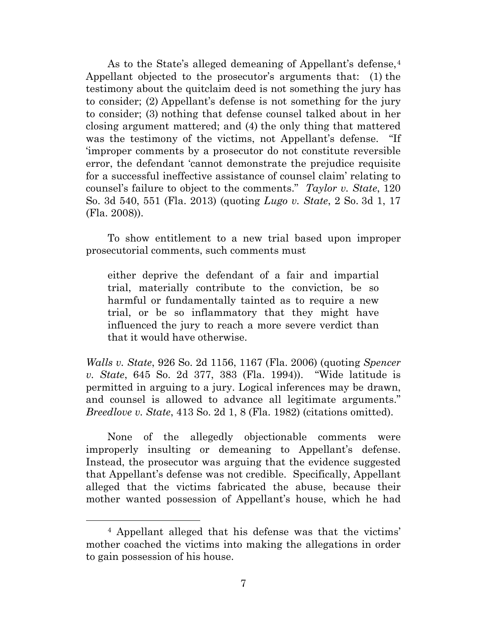As to the State's alleged demeaning of Appellant's defense, [4](#page-6-0) Appellant objected to the prosecutor's arguments that: (1) the testimony about the quitclaim deed is not something the jury has to consider; (2) Appellant's defense is not something for the jury to consider; (3) nothing that defense counsel talked about in her closing argument mattered; and (4) the only thing that mattered was the testimony of the victims, not Appellant's defense. "If 'improper comments by a prosecutor do not constitute reversible error, the defendant 'cannot demonstrate the prejudice requisite for a successful ineffective assistance of counsel claim' relating to counsel's failure to object to the comments." *Taylor v. State*, 120 So. 3d 540, 551 (Fla. 2013) (quoting *Lugo v. State*, 2 So. 3d 1, 17 (Fla. 2008)).

To show entitlement to a new trial based upon improper prosecutorial comments, such comments must

either deprive the defendant of a fair and impartial trial, materially contribute to the conviction, be so harmful or fundamentally tainted as to require a new trial, or be so inflammatory that they might have influenced the jury to reach a more severe verdict than that it would have otherwise.

*Walls v. State*, 926 So. 2d 1156, 1167 (Fla. 2006) (quoting *Spencer v. State*, 645 So. 2d 377, 383 (Fla. 1994)). "Wide latitude is permitted in arguing to a jury. Logical inferences may be drawn, and counsel is allowed to advance all legitimate arguments." *Breedlove v. State*, 413 So. 2d 1, 8 (Fla. 1982) (citations omitted).

None of the allegedly objectionable comments were improperly insulting or demeaning to Appellant's defense. Instead, the prosecutor was arguing that the evidence suggested that Appellant's defense was not credible. Specifically, Appellant alleged that the victims fabricated the abuse, because their mother wanted possession of Appellant's house, which he had

<span id="page-6-0"></span> <sup>4</sup> Appellant alleged that his defense was that the victims' mother coached the victims into making the allegations in order to gain possession of his house.